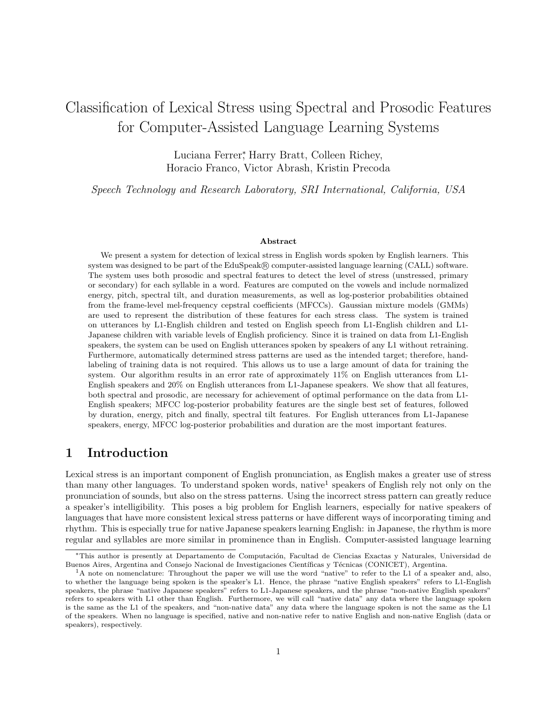# Classification of Lexical Stress using Spectral and Prosodic Features for Computer-Assisted Language Learning Systems

Luciana Ferrer<sup>∗</sup> , Harry Bratt, Colleen Richey, Horacio Franco, Victor Abrash, Kristin Precoda

Speech Technology and Research Laboratory, SRI International, California, USA

#### Abstract

We present a system for detection of lexical stress in English words spoken by English learners. This system was designed to be part of the EduSpeak <sup>R</sup> computer-assisted language learning (CALL) software. The system uses both prosodic and spectral features to detect the level of stress (unstressed, primary or secondary) for each syllable in a word. Features are computed on the vowels and include normalized energy, pitch, spectral tilt, and duration measurements, as well as log-posterior probabilities obtained from the frame-level mel-frequency cepstral coefficients (MFCCs). Gaussian mixture models (GMMs) are used to represent the distribution of these features for each stress class. The system is trained on utterances by L1-English children and tested on English speech from L1-English children and L1- Japanese children with variable levels of English proficiency. Since it is trained on data from L1-English speakers, the system can be used on English utterances spoken by speakers of any L1 without retraining. Furthermore, automatically determined stress patterns are used as the intended target; therefore, handlabeling of training data is not required. This allows us to use a large amount of data for training the system. Our algorithm results in an error rate of approximately 11% on English utterances from L1- English speakers and 20% on English utterances from L1-Japanese speakers. We show that all features, both spectral and prosodic, are necessary for achievement of optimal performance on the data from L1- English speakers; MFCC log-posterior probability features are the single best set of features, followed by duration, energy, pitch and finally, spectral tilt features. For English utterances from L1-Japanese speakers, energy, MFCC log-posterior probabilities and duration are the most important features.

# 1 Introduction

Lexical stress is an important component of English pronunciation, as English makes a greater use of stress than many other languages. To understand spoken words, native<sup>1</sup> speakers of English rely not only on the pronunciation of sounds, but also on the stress patterns. Using the incorrect stress pattern can greatly reduce a speaker's intelligibility. This poses a big problem for English learners, especially for native speakers of languages that have more consistent lexical stress patterns or have different ways of incorporating timing and rhythm. This is especially true for native Japanese speakers learning English: in Japanese, the rhythm is more regular and syllables are more similar in prominence than in English. Computer-assisted language learning

<sup>\*</sup>This author is presently at Departamento de Computación, Facultad de Ciencias Exactas y Naturales, Universidad de Buenos Aires, Argentina and Consejo Nacional de Investigaciones Científicas y Técnicas (CONICET), Argentina.

<sup>&</sup>lt;sup>1</sup>A note on nomenclature: Throughout the paper we will use the word "native" to refer to the L1 of a speaker and, also, to whether the language being spoken is the speaker's L1. Hence, the phrase "native English speakers" refers to L1-English speakers, the phrase "native Japanese speakers" refers to L1-Japanese speakers, and the phrase "non-native English speakers" refers to speakers with L1 other than English. Furthermore, we will call "native data" any data where the language spoken is the same as the L1 of the speakers, and "non-native data" any data where the language spoken is not the same as the L1 of the speakers. When no language is specified, native and non-native refer to native English and non-native English (data or speakers), respectively.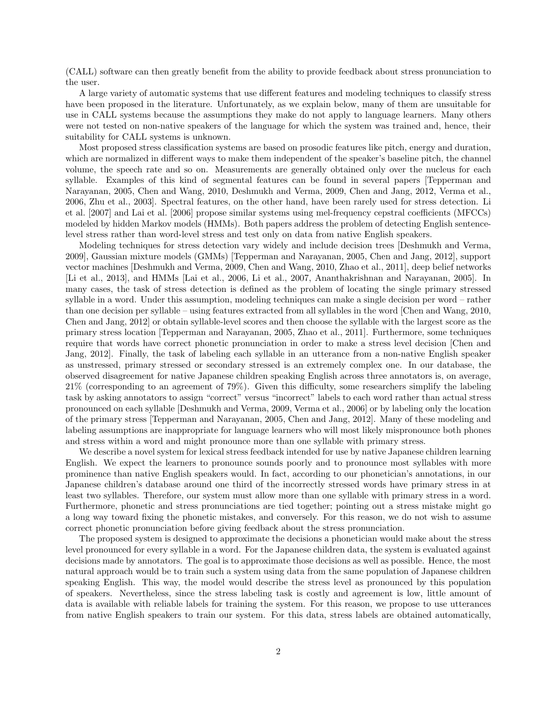(CALL) software can then greatly benefit from the ability to provide feedback about stress pronunciation to the user.

A large variety of automatic systems that use different features and modeling techniques to classify stress have been proposed in the literature. Unfortunately, as we explain below, many of them are unsuitable for use in CALL systems because the assumptions they make do not apply to language learners. Many others were not tested on non-native speakers of the language for which the system was trained and, hence, their suitability for CALL systems is unknown.

Most proposed stress classification systems are based on prosodic features like pitch, energy and duration, which are normalized in different ways to make them independent of the speaker's baseline pitch, the channel volume, the speech rate and so on. Measurements are generally obtained only over the nucleus for each syllable. Examples of this kind of segmental features can be found in several papers [Tepperman and Narayanan, 2005, Chen and Wang, 2010, Deshmukh and Verma, 2009, Chen and Jang, 2012, Verma et al., 2006, Zhu et al., 2003]. Spectral features, on the other hand, have been rarely used for stress detection. Li et al. [2007] and Lai et al. [2006] propose similar systems using mel-frequency cepstral coefficients (MFCCs) modeled by hidden Markov models (HMMs). Both papers address the problem of detecting English sentencelevel stress rather than word-level stress and test only on data from native English speakers.

Modeling techniques for stress detection vary widely and include decision trees [Deshmukh and Verma, 2009], Gaussian mixture models (GMMs) [Tepperman and Narayanan, 2005, Chen and Jang, 2012], support vector machines [Deshmukh and Verma, 2009, Chen and Wang, 2010, Zhao et al., 2011], deep belief networks [Li et al., 2013], and HMMs [Lai et al., 2006, Li et al., 2007, Ananthakrishnan and Narayanan, 2005]. In many cases, the task of stress detection is defined as the problem of locating the single primary stressed syllable in a word. Under this assumption, modeling techniques can make a single decision per word – rather than one decision per syllable – using features extracted from all syllables in the word [Chen and Wang, 2010, Chen and Jang, 2012] or obtain syllable-level scores and then choose the syllable with the largest score as the primary stress location [Tepperman and Narayanan, 2005, Zhao et al., 2011]. Furthermore, some techniques require that words have correct phonetic pronunciation in order to make a stress level decision [Chen and Jang, 2012]. Finally, the task of labeling each syllable in an utterance from a non-native English speaker as unstressed, primary stressed or secondary stressed is an extremely complex one. In our database, the observed disagreement for native Japanese children speaking English across three annotators is, on average, 21% (corresponding to an agreement of 79%). Given this difficulty, some researchers simplify the labeling task by asking annotators to assign "correct" versus "incorrect" labels to each word rather than actual stress pronounced on each syllable [Deshmukh and Verma, 2009, Verma et al., 2006] or by labeling only the location of the primary stress [Tepperman and Narayanan, 2005, Chen and Jang, 2012]. Many of these modeling and labeling assumptions are inappropriate for language learners who will most likely mispronounce both phones and stress within a word and might pronounce more than one syllable with primary stress.

We describe a novel system for lexical stress feedback intended for use by native Japanese children learning English. We expect the learners to pronounce sounds poorly and to pronounce most syllables with more prominence than native English speakers would. In fact, according to our phonetician's annotations, in our Japanese children's database around one third of the incorrectly stressed words have primary stress in at least two syllables. Therefore, our system must allow more than one syllable with primary stress in a word. Furthermore, phonetic and stress pronunciations are tied together; pointing out a stress mistake might go a long way toward fixing the phonetic mistakes, and conversely. For this reason, we do not wish to assume correct phonetic pronunciation before giving feedback about the stress pronunciation.

The proposed system is designed to approximate the decisions a phonetician would make about the stress level pronounced for every syllable in a word. For the Japanese children data, the system is evaluated against decisions made by annotators. The goal is to approximate those decisions as well as possible. Hence, the most natural approach would be to train such a system using data from the same population of Japanese children speaking English. This way, the model would describe the stress level as pronounced by this population of speakers. Nevertheless, since the stress labeling task is costly and agreement is low, little amount of data is available with reliable labels for training the system. For this reason, we propose to use utterances from native English speakers to train our system. For this data, stress labels are obtained automatically,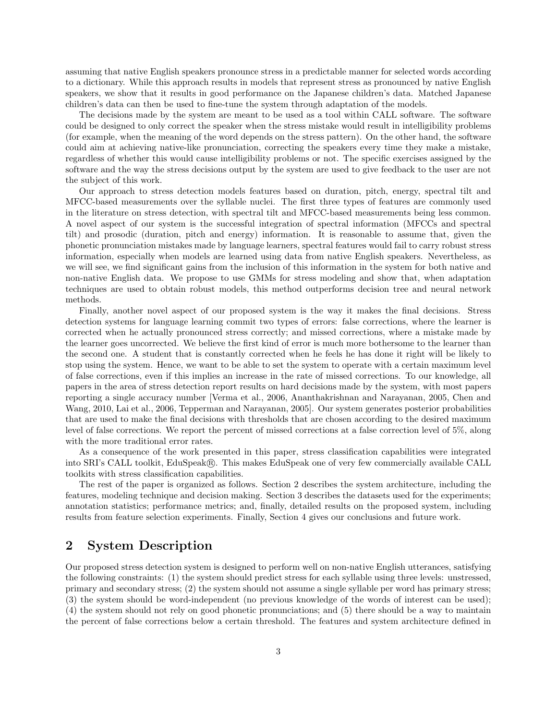assuming that native English speakers pronounce stress in a predictable manner for selected words according to a dictionary. While this approach results in models that represent stress as pronounced by native English speakers, we show that it results in good performance on the Japanese children's data. Matched Japanese children's data can then be used to fine-tune the system through adaptation of the models.

The decisions made by the system are meant to be used as a tool within CALL software. The software could be designed to only correct the speaker when the stress mistake would result in intelligibility problems (for example, when the meaning of the word depends on the stress pattern). On the other hand, the software could aim at achieving native-like pronunciation, correcting the speakers every time they make a mistake, regardless of whether this would cause intelligibility problems or not. The specific exercises assigned by the software and the way the stress decisions output by the system are used to give feedback to the user are not the subject of this work.

Our approach to stress detection models features based on duration, pitch, energy, spectral tilt and MFCC-based measurements over the syllable nuclei. The first three types of features are commonly used in the literature on stress detection, with spectral tilt and MFCC-based measurements being less common. A novel aspect of our system is the successful integration of spectral information (MFCCs and spectral tilt) and prosodic (duration, pitch and energy) information. It is reasonable to assume that, given the phonetic pronunciation mistakes made by language learners, spectral features would fail to carry robust stress information, especially when models are learned using data from native English speakers. Nevertheless, as we will see, we find significant gains from the inclusion of this information in the system for both native and non-native English data. We propose to use GMMs for stress modeling and show that, when adaptation techniques are used to obtain robust models, this method outperforms decision tree and neural network methods.

Finally, another novel aspect of our proposed system is the way it makes the final decisions. Stress detection systems for language learning commit two types of errors: false corrections, where the learner is corrected when he actually pronounced stress correctly; and missed corrections, where a mistake made by the learner goes uncorrected. We believe the first kind of error is much more bothersome to the learner than the second one. A student that is constantly corrected when he feels he has done it right will be likely to stop using the system. Hence, we want to be able to set the system to operate with a certain maximum level of false corrections, even if this implies an increase in the rate of missed corrections. To our knowledge, all papers in the area of stress detection report results on hard decisions made by the system, with most papers reporting a single accuracy number [Verma et al., 2006, Ananthakrishnan and Narayanan, 2005, Chen and Wang, 2010, Lai et al., 2006, Tepperman and Narayanan, 2005]. Our system generates posterior probabilities that are used to make the final decisions with thresholds that are chosen according to the desired maximum level of false corrections. We report the percent of missed corrections at a false correction level of 5%, along with the more traditional error rates.

As a consequence of the work presented in this paper, stress classification capabilities were integrated into SRI's CALL toolkit, EduSpeak®. This makes EduSpeak one of very few commercially available CALL toolkits with stress classification capabilities.

The rest of the paper is organized as follows. Section 2 describes the system architecture, including the features, modeling technique and decision making. Section 3 describes the datasets used for the experiments; annotation statistics; performance metrics; and, finally, detailed results on the proposed system, including results from feature selection experiments. Finally, Section 4 gives our conclusions and future work.

# 2 System Description

Our proposed stress detection system is designed to perform well on non-native English utterances, satisfying the following constraints: (1) the system should predict stress for each syllable using three levels: unstressed, primary and secondary stress; (2) the system should not assume a single syllable per word has primary stress; (3) the system should be word-independent (no previous knowledge of the words of interest can be used); (4) the system should not rely on good phonetic pronunciations; and (5) there should be a way to maintain the percent of false corrections below a certain threshold. The features and system architecture defined in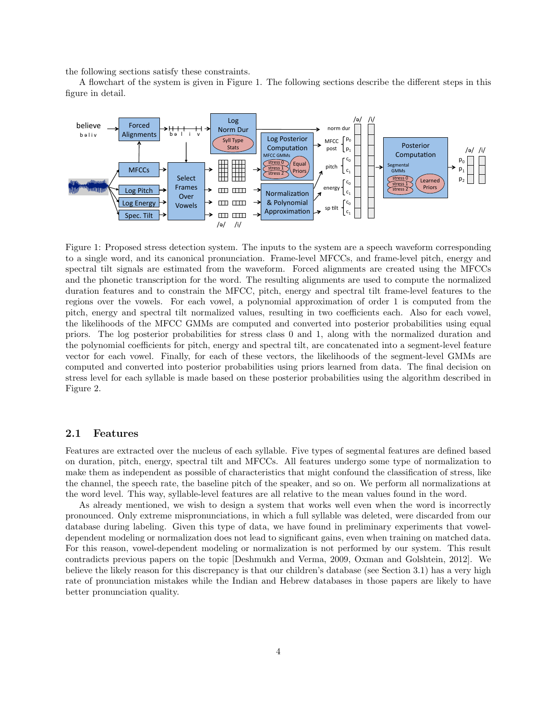the following sections satisfy these constraints.

A flowchart of the system is given in Figure 1. The following sections describe the different steps in this figure in detail.



Figure 1: Proposed stress detection system. The inputs to the system are a speech waveform corresponding to a single word, and its canonical pronunciation. Frame-level MFCCs, and frame-level pitch, energy and spectral tilt signals are estimated from the waveform. Forced alignments are created using the MFCCs and the phonetic transcription for the word. The resulting alignments are used to compute the normalized duration features and to constrain the MFCC, pitch, energy and spectral tilt frame-level features to the regions over the vowels. For each vowel, a polynomial approximation of order 1 is computed from the pitch, energy and spectral tilt normalized values, resulting in two coefficients each. Also for each vowel, the likelihoods of the MFCC GMMs are computed and converted into posterior probabilities using equal priors. The log posterior probabilities for stress class 0 and 1, along with the normalized duration and the polynomial coefficients for pitch, energy and spectral tilt, are concatenated into a segment-level feature vector for each vowel. Finally, for each of these vectors, the likelihoods of the segment-level GMMs are computed and converted into posterior probabilities using priors learned from data. The final decision on stress level for each syllable is made based on these posterior probabilities using the algorithm described in Figure 2.

# 2.1 Features

Features are extracted over the nucleus of each syllable. Five types of segmental features are defined based on duration, pitch, energy, spectral tilt and MFCCs. All features undergo some type of normalization to make them as independent as possible of characteristics that might confound the classification of stress, like the channel, the speech rate, the baseline pitch of the speaker, and so on. We perform all normalizations at the word level. This way, syllable-level features are all relative to the mean values found in the word.

As already mentioned, we wish to design a system that works well even when the word is incorrectly pronounced. Only extreme mispronunciations, in which a full syllable was deleted, were discarded from our database during labeling. Given this type of data, we have found in preliminary experiments that voweldependent modeling or normalization does not lead to significant gains, even when training on matched data. For this reason, vowel-dependent modeling or normalization is not performed by our system. This result contradicts previous papers on the topic [Deshmukh and Verma, 2009, Oxman and Golshtein, 2012]. We believe the likely reason for this discrepancy is that our children's database (see Section 3.1) has a very high rate of pronunciation mistakes while the Indian and Hebrew databases in those papers are likely to have better pronunciation quality.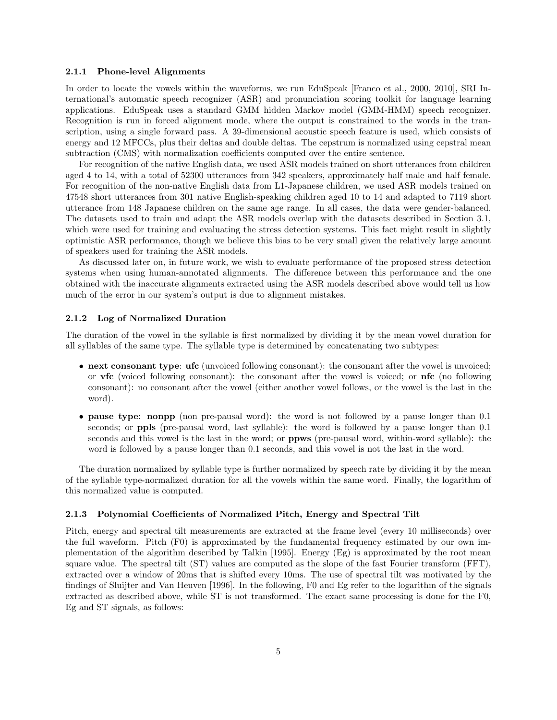#### 2.1.1 Phone-level Alignments

In order to locate the vowels within the waveforms, we run EduSpeak [Franco et al., 2000, 2010], SRI International's automatic speech recognizer (ASR) and pronunciation scoring toolkit for language learning applications. EduSpeak uses a standard GMM hidden Markov model (GMM-HMM) speech recognizer. Recognition is run in forced alignment mode, where the output is constrained to the words in the transcription, using a single forward pass. A 39-dimensional acoustic speech feature is used, which consists of energy and 12 MFCCs, plus their deltas and double deltas. The cepstrum is normalized using cepstral mean subtraction (CMS) with normalization coefficients computed over the entire sentence.

For recognition of the native English data, we used ASR models trained on short utterances from children aged 4 to 14, with a total of 52300 utterances from 342 speakers, approximately half male and half female. For recognition of the non-native English data from L1-Japanese children, we used ASR models trained on 47548 short utterances from 301 native English-speaking children aged 10 to 14 and adapted to 7119 short utterance from 148 Japanese children on the same age range. In all cases, the data were gender-balanced. The datasets used to train and adapt the ASR models overlap with the datasets described in Section 3.1, which were used for training and evaluating the stress detection systems. This fact might result in slightly optimistic ASR performance, though we believe this bias to be very small given the relatively large amount of speakers used for training the ASR models.

As discussed later on, in future work, we wish to evaluate performance of the proposed stress detection systems when using human-annotated alignments. The difference between this performance and the one obtained with the inaccurate alignments extracted using the ASR models described above would tell us how much of the error in our system's output is due to alignment mistakes.

### 2.1.2 Log of Normalized Duration

The duration of the vowel in the syllable is first normalized by dividing it by the mean vowel duration for all syllables of the same type. The syllable type is determined by concatenating two subtypes:

- next consonant type: ufc (unvoiced following consonant): the consonant after the vowel is unvoiced; or vfc (voiced following consonant): the consonant after the vowel is voiced; or nfc (no following consonant): no consonant after the vowel (either another vowel follows, or the vowel is the last in the word).
- pause type: nonpp (non pre-pausal word): the word is not followed by a pause longer than 0.1 seconds; or ppls (pre-pausal word, last syllable): the word is followed by a pause longer than 0.1 seconds and this vowel is the last in the word; or ppws (pre-pausal word, within-word syllable): the word is followed by a pause longer than 0.1 seconds, and this vowel is not the last in the word.

The duration normalized by syllable type is further normalized by speech rate by dividing it by the mean of the syllable type-normalized duration for all the vowels within the same word. Finally, the logarithm of this normalized value is computed.

### 2.1.3 Polynomial Coefficients of Normalized Pitch, Energy and Spectral Tilt

Pitch, energy and spectral tilt measurements are extracted at the frame level (every 10 milliseconds) over the full waveform. Pitch (F0) is approximated by the fundamental frequency estimated by our own implementation of the algorithm described by Talkin [1995]. Energy (Eg) is approximated by the root mean square value. The spectral tilt (ST) values are computed as the slope of the fast Fourier transform (FFT), extracted over a window of 20ms that is shifted every 10ms. The use of spectral tilt was motivated by the findings of Sluijter and Van Heuven [1996]. In the following, F0 and Eg refer to the logarithm of the signals extracted as described above, while ST is not transformed. The exact same processing is done for the F0, Eg and ST signals, as follows: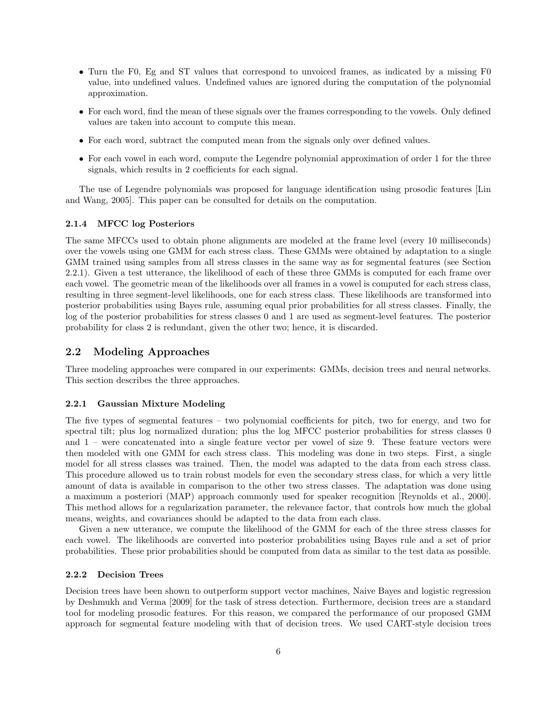- Turn the F0, Eg and ST values that correspond to unvoiced frames, as indicated by a missing F0 value, into undefined values. Undefined values are ignored during the computation of the polynomial approximation.
- For each word, find the mean of these signals over the frames corresponding to the vowels. Only defined values are taken into account to compute this mean.
- For each word, subtract the computed mean from the signals only over defined values.
- For each vowel in each word, compute the Legendre polynomial approximation of order 1 for the three signals, which results in 2 coefficients for each signal.

The use of Legendre polynomials was proposed for language identification using prosodic features [Lin and Wang, 2005]. This paper can be consulted for details on the computation.

### 2.1.4 MFCC log Posteriors

The same MFCCs used to obtain phone alignments are modeled at the frame level (every 10 milliseconds) over the vowels using one GMM for each stress class. These GMMs were obtained by adaptation to a single GMM trained using samples from all stress classes in the same way as for segmental features (see Section 2.2.1). Given a test utterance, the likelihood of each of these three GMMs is computed for each frame over each vowel. The geometric mean of the likelihoods over all frames in a vowel is computed for each stress class, resulting in three segment-level likelihoods, one for each stress class. These likelihoods are transformed into posterior probabilities using Bayes rule, assuming equal prior probabilities for all stress classes. Finally, the log of the posterior probabilities for stress classes 0 and 1 are used as segment-level features. The posterior probability for class 2 is redundant, given the other two; hence, it is discarded.

### 2.2 Modeling Approaches

Three modeling approaches were compared in our experiments: GMMs, decision trees and neural networks. This section describes the three approaches.

### 2.2.1 Gaussian Mixture Modeling

The five types of segmental features – two polynomial coefficients for pitch, two for energy, and two for spectral tilt; plus log normalized duration; plus the log MFCC posterior probabilities for stress classes 0 and 1 – were concatenated into a single feature vector per vowel of size 9. These feature vectors were then modeled with one GMM for each stress class. This modeling was done in two steps. First, a single model for all stress classes was trained. Then, the model was adapted to the data from each stress class. This procedure allowed us to train robust models for even the secondary stress class, for which a very little amount of data is available in comparison to the other two stress classes. The adaptation was done using a maximum a posteriori (MAP) approach commonly used for speaker recognition [Reynolds et al., 2000]. This method allows for a regularization parameter, the relevance factor, that controls how much the global means, weights, and covariances should be adapted to the data from each class.

Given a new utterance, we compute the likelihood of the GMM for each of the three stress classes for each vowel. The likelihoods are converted into posterior probabilities using Bayes rule and a set of prior probabilities. These prior probabilities should be computed from data as similar to the test data as possible.

#### 2.2.2 Decision Trees

Decision trees have been shown to outperform support vector machines, Naive Bayes and logistic regression by Deshmukh and Verma [2009] for the task of stress detection. Furthermore, decision trees are a standard tool for modeling prosodic features. For this reason, we compared the performance of our proposed GMM approach for segmental feature modeling with that of decision trees. We used CART-style decision trees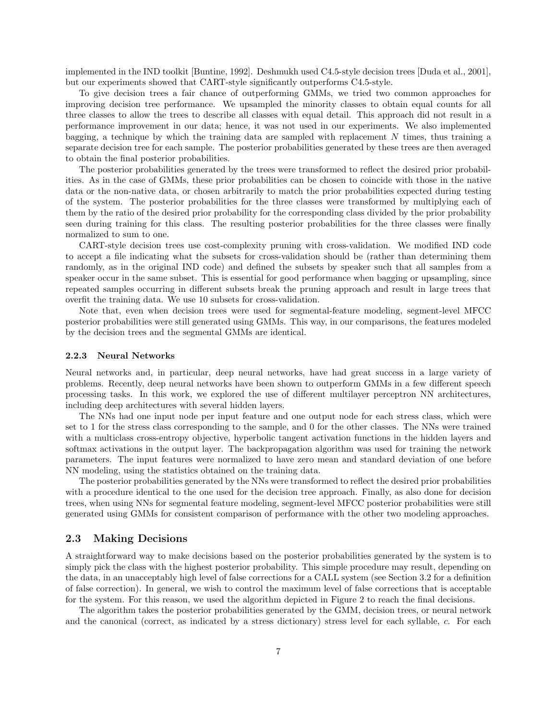implemented in the IND toolkit [Buntine, 1992]. Deshmukh used C4.5-style decision trees [Duda et al., 2001], but our experiments showed that CART-style significantly outperforms C4.5-style.

To give decision trees a fair chance of outperforming GMMs, we tried two common approaches for improving decision tree performance. We upsampled the minority classes to obtain equal counts for all three classes to allow the trees to describe all classes with equal detail. This approach did not result in a performance improvement in our data; hence, it was not used in our experiments. We also implemented bagging, a technique by which the training data are sampled with replacement  $N$  times, thus training a separate decision tree for each sample. The posterior probabilities generated by these trees are then averaged to obtain the final posterior probabilities.

The posterior probabilities generated by the trees were transformed to reflect the desired prior probabilities. As in the case of GMMs, these prior probabilities can be chosen to coincide with those in the native data or the non-native data, or chosen arbitrarily to match the prior probabilities expected during testing of the system. The posterior probabilities for the three classes were transformed by multiplying each of them by the ratio of the desired prior probability for the corresponding class divided by the prior probability seen during training for this class. The resulting posterior probabilities for the three classes were finally normalized to sum to one.

CART-style decision trees use cost-complexity pruning with cross-validation. We modified IND code to accept a file indicating what the subsets for cross-validation should be (rather than determining them randomly, as in the original IND code) and defined the subsets by speaker such that all samples from a speaker occur in the same subset. This is essential for good performance when bagging or upsampling, since repeated samples occurring in different subsets break the pruning approach and result in large trees that overfit the training data. We use 10 subsets for cross-validation.

Note that, even when decision trees were used for segmental-feature modeling, segment-level MFCC posterior probabilities were still generated using GMMs. This way, in our comparisons, the features modeled by the decision trees and the segmental GMMs are identical.

#### 2.2.3 Neural Networks

Neural networks and, in particular, deep neural networks, have had great success in a large variety of problems. Recently, deep neural networks have been shown to outperform GMMs in a few different speech processing tasks. In this work, we explored the use of different multilayer perceptron NN architectures, including deep architectures with several hidden layers.

The NNs had one input node per input feature and one output node for each stress class, which were set to 1 for the stress class corresponding to the sample, and 0 for the other classes. The NNs were trained with a multiclass cross-entropy objective, hyperbolic tangent activation functions in the hidden layers and softmax activations in the output layer. The backpropagation algorithm was used for training the network parameters. The input features were normalized to have zero mean and standard deviation of one before NN modeling, using the statistics obtained on the training data.

The posterior probabilities generated by the NNs were transformed to reflect the desired prior probabilities with a procedure identical to the one used for the decision tree approach. Finally, as also done for decision trees, when using NNs for segmental feature modeling, segment-level MFCC posterior probabilities were still generated using GMMs for consistent comparison of performance with the other two modeling approaches.

### 2.3 Making Decisions

A straightforward way to make decisions based on the posterior probabilities generated by the system is to simply pick the class with the highest posterior probability. This simple procedure may result, depending on the data, in an unacceptably high level of false corrections for a CALL system (see Section 3.2 for a definition of false correction). In general, we wish to control the maximum level of false corrections that is acceptable for the system. For this reason, we used the algorithm depicted in Figure 2 to reach the final decisions.

The algorithm takes the posterior probabilities generated by the GMM, decision trees, or neural network and the canonical (correct, as indicated by a stress dictionary) stress level for each syllable, c. For each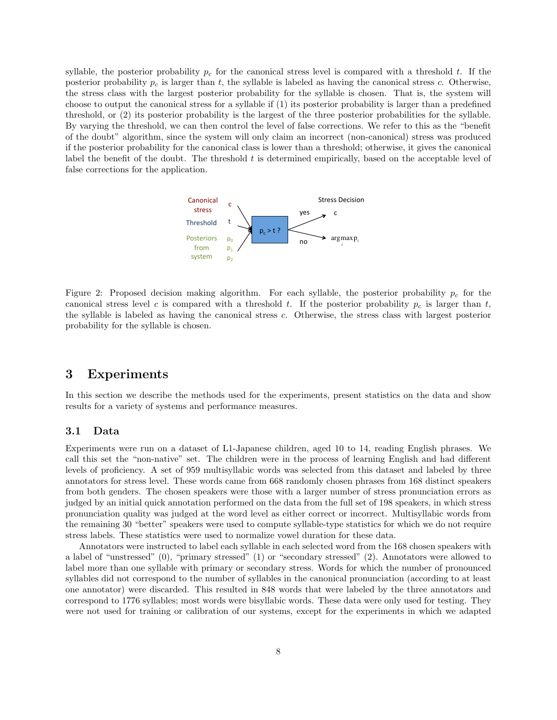syllable, the posterior probability  $p_c$  for the canonical stress level is compared with a threshold t. If the posterior probability  $p_c$  is larger than t, the syllable is labeled as having the canonical stress c. Otherwise, the stress class with the largest posterior probability for the syllable is chosen. That is, the system will choose to output the canonical stress for a syllable if (1) its posterior probability is larger than a predefined threshold, or (2) its posterior probability is the largest of the three posterior probabilities for the syllable. By varying the threshold, we can then control the level of false corrections. We refer to this as the "benefit of the doubt" algorithm, since the system will only claim an incorrect (non-canonical) stress was produced if the posterior probability for the canonical class is lower than a threshold; otherwise, it gives the canonical label the benefit of the doubt. The threshold t is determined empirically, based on the acceptable level of false corrections for the application.



Figure 2: Proposed decision making algorithm. For each syllable, the posterior probability  $p_c$  for the canonical stress level c is compared with a threshold t. If the posterior probability  $p_c$  is larger than t, the syllable is labeled as having the canonical stress c. Otherwise, the stress class with largest posterior probability for the syllable is chosen.

# 3 Experiments

In this section we describe the methods used for the experiments, present statistics on the data and show results for a variety of systems and performance measures.

# 3.1 Data

Experiments were run on a dataset of L1-Japanese children, aged 10 to 14, reading English phrases. We call this set the "non-native" set. The children were in the process of learning English and had different levels of proficiency. A set of 959 multisyllabic words was selected from this dataset and labeled by three annotators for stress level. These words came from 668 randomly chosen phrases from 168 distinct speakers from both genders. The chosen speakers were those with a larger number of stress pronunciation errors as judged by an initial quick annotation performed on the data from the full set of 198 speakers, in which stress pronunciation quality was judged at the word level as either correct or incorrect. Multisyllabic words from the remaining 30 "better" speakers were used to compute syllable-type statistics for which we do not require stress labels. These statistics were used to normalize vowel duration for these data.

Annotators were instructed to label each syllable in each selected word from the 168 chosen speakers with a label of "unstressed" (0), "primary stressed" (1) or "secondary stressed" (2). Annotators were allowed to label more than one syllable with primary or secondary stress. Words for which the number of pronounced syllables did not correspond to the number of syllables in the canonical pronunciation (according to at least one annotator) were discarded. This resulted in 848 words that were labeled by the three annotators and correspond to 1776 syllables; most words were bisyllabic words. These data were only used for testing. They were not used for training or calibration of our systems, except for the experiments in which we adapted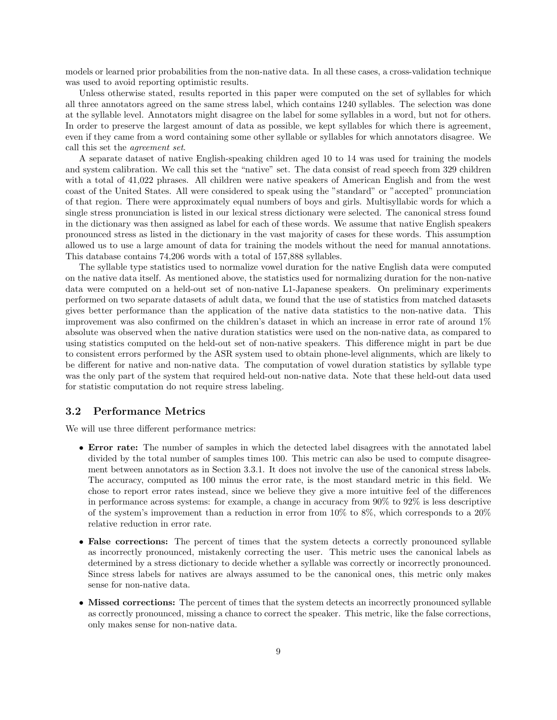models or learned prior probabilities from the non-native data. In all these cases, a cross-validation technique was used to avoid reporting optimistic results.

Unless otherwise stated, results reported in this paper were computed on the set of syllables for which all three annotators agreed on the same stress label, which contains 1240 syllables. The selection was done at the syllable level. Annotators might disagree on the label for some syllables in a word, but not for others. In order to preserve the largest amount of data as possible, we kept syllables for which there is agreement, even if they came from a word containing some other syllable or syllables for which annotators disagree. We call this set the agreement set.

A separate dataset of native English-speaking children aged 10 to 14 was used for training the models and system calibration. We call this set the "native" set. The data consist of read speech from 329 children with a total of 41,022 phrases. All children were native speakers of American English and from the west coast of the United States. All were considered to speak using the "standard" or "accepted" pronunciation of that region. There were approximately equal numbers of boys and girls. Multisyllabic words for which a single stress pronunciation is listed in our lexical stress dictionary were selected. The canonical stress found in the dictionary was then assigned as label for each of these words. We assume that native English speakers pronounced stress as listed in the dictionary in the vast majority of cases for these words. This assumption allowed us to use a large amount of data for training the models without the need for manual annotations. This database contains 74,206 words with a total of 157,888 syllables.

The syllable type statistics used to normalize vowel duration for the native English data were computed on the native data itself. As mentioned above, the statistics used for normalizing duration for the non-native data were computed on a held-out set of non-native L1-Japanese speakers. On preliminary experiments performed on two separate datasets of adult data, we found that the use of statistics from matched datasets gives better performance than the application of the native data statistics to the non-native data. This improvement was also confirmed on the children's dataset in which an increase in error rate of around 1% absolute was observed when the native duration statistics were used on the non-native data, as compared to using statistics computed on the held-out set of non-native speakers. This difference might in part be due to consistent errors performed by the ASR system used to obtain phone-level alignments, which are likely to be different for native and non-native data. The computation of vowel duration statistics by syllable type was the only part of the system that required held-out non-native data. Note that these held-out data used for statistic computation do not require stress labeling.

# 3.2 Performance Metrics

We will use three different performance metrics:

- Error rate: The number of samples in which the detected label disagrees with the annotated label divided by the total number of samples times 100. This metric can also be used to compute disagreement between annotators as in Section 3.3.1. It does not involve the use of the canonical stress labels. The accuracy, computed as 100 minus the error rate, is the most standard metric in this field. We chose to report error rates instead, since we believe they give a more intuitive feel of the differences in performance across systems: for example, a change in accuracy from 90% to 92% is less descriptive of the system's improvement than a reduction in error from 10% to 8%, which corresponds to a 20% relative reduction in error rate.
- False corrections: The percent of times that the system detects a correctly pronounced syllable as incorrectly pronounced, mistakenly correcting the user. This metric uses the canonical labels as determined by a stress dictionary to decide whether a syllable was correctly or incorrectly pronounced. Since stress labels for natives are always assumed to be the canonical ones, this metric only makes sense for non-native data.
- Missed corrections: The percent of times that the system detects an incorrectly pronounced syllable as correctly pronounced, missing a chance to correct the speaker. This metric, like the false corrections, only makes sense for non-native data.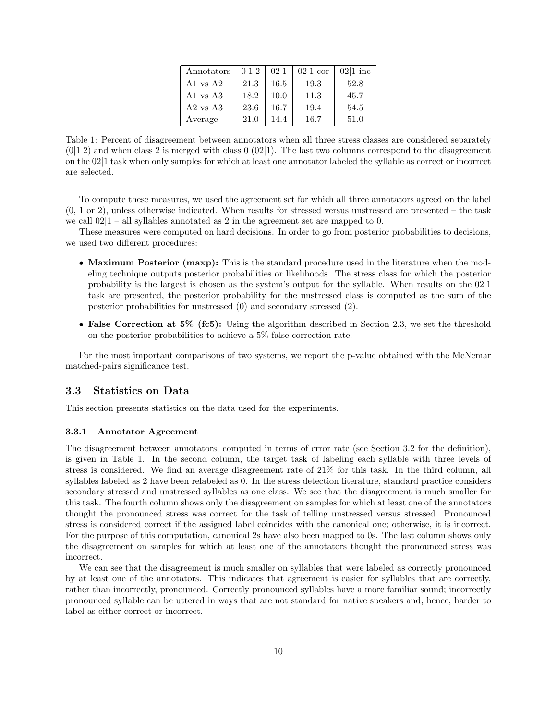| Annotators         | 0 1 2 | 02 1 | $02 1$ cor | $02 1$ inc |
|--------------------|-------|------|------------|------------|
| A1 vs $A2$         | 21.3  | 16.5 | 19.3       | 52.8       |
| A1 $\text{vs } A3$ | 18.2  | 10.0 | 11.3       | 45.7       |
| $A2$ vs $A3$       | 23.6  | 16.7 | 19.4       | 54.5       |
| Average            | 21.0  | 14.4 | 16.7       | 51.0       |

Table 1: Percent of disagreement between annotators when all three stress classes are considered separately  $(0|1|2)$  and when class 2 is merged with class 0  $(02|1)$ . The last two columns correspond to the disagreement on the 02|1 task when only samples for which at least one annotator labeled the syllable as correct or incorrect are selected.

To compute these measures, we used the agreement set for which all three annotators agreed on the label (0, 1 or 2), unless otherwise indicated. When results for stressed versus unstressed are presented – the task we call  $02|1 -$  all syllables annotated as 2 in the agreement set are mapped to 0.

These measures were computed on hard decisions. In order to go from posterior probabilities to decisions, we used two different procedures:

- Maximum Posterior (maxp): This is the standard procedure used in the literature when the modeling technique outputs posterior probabilities or likelihoods. The stress class for which the posterior probability is the largest is chosen as the system's output for the syllable. When results on the 02|1 task are presented, the posterior probability for the unstressed class is computed as the sum of the posterior probabilities for unstressed (0) and secondary stressed (2).
- False Correction at 5% (fc5): Using the algorithm described in Section 2.3, we set the threshold on the posterior probabilities to achieve a 5% false correction rate.

For the most important comparisons of two systems, we report the p-value obtained with the McNemar matched-pairs significance test.

### 3.3 Statistics on Data

This section presents statistics on the data used for the experiments.

#### 3.3.1 Annotator Agreement

The disagreement between annotators, computed in terms of error rate (see Section 3.2 for the definition), is given in Table 1. In the second column, the target task of labeling each syllable with three levels of stress is considered. We find an average disagreement rate of 21% for this task. In the third column, all syllables labeled as 2 have been relabeled as 0. In the stress detection literature, standard practice considers secondary stressed and unstressed syllables as one class. We see that the disagreement is much smaller for this task. The fourth column shows only the disagreement on samples for which at least one of the annotators thought the pronounced stress was correct for the task of telling unstressed versus stressed. Pronounced stress is considered correct if the assigned label coincides with the canonical one; otherwise, it is incorrect. For the purpose of this computation, canonical 2s have also been mapped to 0s. The last column shows only the disagreement on samples for which at least one of the annotators thought the pronounced stress was incorrect.

We can see that the disagreement is much smaller on syllables that were labeled as correctly pronounced by at least one of the annotators. This indicates that agreement is easier for syllables that are correctly, rather than incorrectly, pronounced. Correctly pronounced syllables have a more familiar sound; incorrectly pronounced syllable can be uttered in ways that are not standard for native speakers and, hence, harder to label as either correct or incorrect.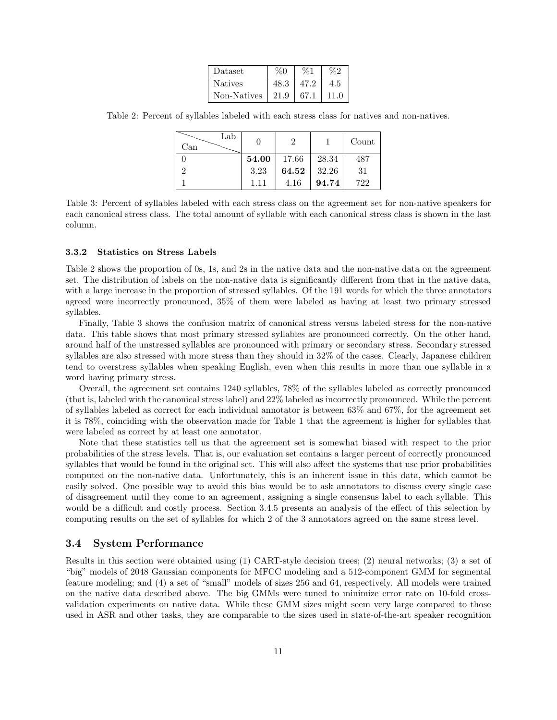| Dataset        | $\%0$ |      |      |
|----------------|-------|------|------|
| <b>Natives</b> | 48.3  | 47.2 | 4.5  |
| Non-Natives    | 21.9  | 67.1 | 11 0 |

Table 2: Percent of syllables labeled with each stress class for natives and non-natives.

| Lab<br>Can |       |       |       | Count |
|------------|-------|-------|-------|-------|
|            | 54.00 | 17.66 | 28.34 | 487   |
|            | 3.23  | 64.52 | 32.26 | 31    |
|            | 1.11  | 4.16  | 94.74 | 722   |

Table 3: Percent of syllables labeled with each stress class on the agreement set for non-native speakers for each canonical stress class. The total amount of syllable with each canonical stress class is shown in the last column.

#### 3.3.2 Statistics on Stress Labels

Table 2 shows the proportion of 0s, 1s, and 2s in the native data and the non-native data on the agreement set. The distribution of labels on the non-native data is significantly different from that in the native data, with a large increase in the proportion of stressed syllables. Of the 191 words for which the three annotators agreed were incorrectly pronounced, 35% of them were labeled as having at least two primary stressed syllables.

Finally, Table 3 shows the confusion matrix of canonical stress versus labeled stress for the non-native data. This table shows that most primary stressed syllables are pronounced correctly. On the other hand, around half of the unstressed syllables are pronounced with primary or secondary stress. Secondary stressed syllables are also stressed with more stress than they should in 32% of the cases. Clearly, Japanese children tend to overstress syllables when speaking English, even when this results in more than one syllable in a word having primary stress.

Overall, the agreement set contains 1240 syllables, 78% of the syllables labeled as correctly pronounced (that is, labeled with the canonical stress label) and 22% labeled as incorrectly pronounced. While the percent of syllables labeled as correct for each individual annotator is between 63% and 67%, for the agreement set it is 78%, coinciding with the observation made for Table 1 that the agreement is higher for syllables that were labeled as correct by at least one annotator.

Note that these statistics tell us that the agreement set is somewhat biased with respect to the prior probabilities of the stress levels. That is, our evaluation set contains a larger percent of correctly pronounced syllables that would be found in the original set. This will also affect the systems that use prior probabilities computed on the non-native data. Unfortunately, this is an inherent issue in this data, which cannot be easily solved. One possible way to avoid this bias would be to ask annotators to discuss every single case of disagreement until they come to an agreement, assigning a single consensus label to each syllable. This would be a difficult and costly process. Section 3.4.5 presents an analysis of the effect of this selection by computing results on the set of syllables for which 2 of the 3 annotators agreed on the same stress level.

## 3.4 System Performance

Results in this section were obtained using (1) CART-style decision trees; (2) neural networks; (3) a set of "big" models of 2048 Gaussian components for MFCC modeling and a 512-component GMM for segmental feature modeling; and (4) a set of "small" models of sizes 256 and 64, respectively. All models were trained on the native data described above. The big GMMs were tuned to minimize error rate on 10-fold crossvalidation experiments on native data. While these GMM sizes might seem very large compared to those used in ASR and other tasks, they are comparable to the sizes used in state-of-the-art speaker recognition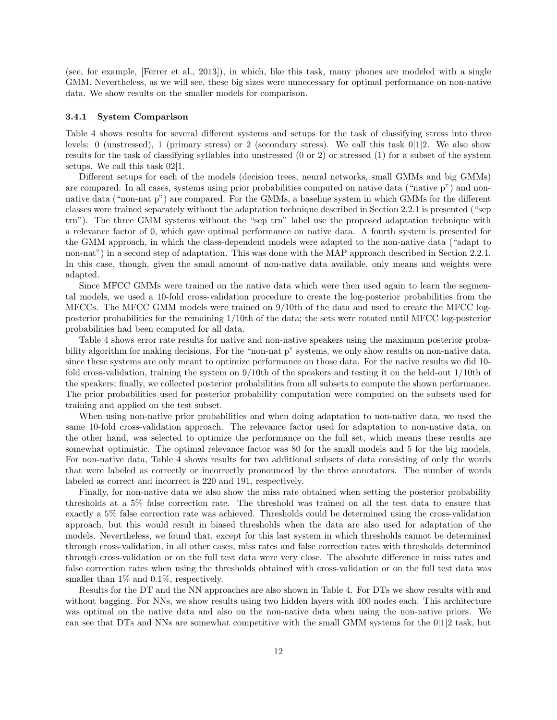(see, for example, [Ferrer et al., 2013]), in which, like this task, many phones are modeled with a single GMM. Nevertheless, as we will see, these big sizes were unnecessary for optimal performance on non-native data. We show results on the smaller models for comparison.

#### 3.4.1 System Comparison

Table 4 shows results for several different systems and setups for the task of classifying stress into three levels: 0 (unstressed), 1 (primary stress) or 2 (secondary stress). We call this task  $0|1|2$ . We also show results for the task of classifying syllables into unstressed (0 or 2) or stressed (1) for a subset of the system setups. We call this task 02|1.

Different setups for each of the models (decision trees, neural networks, small GMMs and big GMMs) are compared. In all cases, systems using prior probabilities computed on native data ("native p") and nonnative data ("non-nat p") are compared. For the GMMs, a baseline system in which GMMs for the different classes were trained separately without the adaptation technique described in Section 2.2.1 is presented ("sep trn"). The three GMM systems without the "sep trn" label use the proposed adaptation technique with a relevance factor of 0, which gave optimal performance on native data. A fourth system is presented for the GMM approach, in which the class-dependent models were adapted to the non-native data ("adapt to non-nat") in a second step of adaptation. This was done with the MAP approach described in Section 2.2.1. In this case, though, given the small amount of non-native data available, only means and weights were adapted.

Since MFCC GMMs were trained on the native data which were then used again to learn the segmental models, we used a 10-fold cross-validation procedure to create the log-posterior probabilities from the MFCCs. The MFCC GMM models were trained on 9/10th of the data and used to create the MFCC logposterior probabilities for the remaining 1/10th of the data; the sets were rotated until MFCC log-posterior probabilities had been computed for all data.

Table 4 shows error rate results for native and non-native speakers using the maximum posterior probability algorithm for making decisions. For the "non-nat p" systems, we only show results on non-native data, since these systems are only meant to optimize performance on those data. For the native results we did 10 fold cross-validation, training the system on 9/10th of the speakers and testing it on the held-out 1/10th of the speakers; finally, we collected posterior probabilities from all subsets to compute the shown performance. The prior probabilities used for posterior probability computation were computed on the subsets used for training and applied on the test subset.

When using non-native prior probabilities and when doing adaptation to non-native data, we used the same 10-fold cross-validation approach. The relevance factor used for adaptation to non-native data, on the other hand, was selected to optimize the performance on the full set, which means these results are somewhat optimistic. The optimal relevance factor was 80 for the small models and 5 for the big models. For non-native data, Table 4 shows results for two additional subsets of data consisting of only the words that were labeled as correctly or incorrectly pronounced by the three annotators. The number of words labeled as correct and incorrect is 220 and 191, respectively.

Finally, for non-native data we also show the miss rate obtained when setting the posterior probability thresholds at a 5% false correction rate. The threshold was trained on all the test data to ensure that exactly a 5% false correction rate was achieved. Thresholds could be determined using the cross-validation approach, but this would result in biased thresholds when the data are also used for adaptation of the models. Nevertheless, we found that, except for this last system in which thresholds cannot be determined through cross-validation, in all other cases, miss rates and false correction rates with thresholds determined through cross-validation or on the full test data were very close. The absolute difference in miss rates and false correction rates when using the thresholds obtained with cross-validation or on the full test data was smaller than  $1\%$  and  $0.1\%$ , respectively.

Results for the DT and the NN approaches are also shown in Table 4. For DTs we show results with and without bagging. For NNs, we show results using two hidden layers with 400 nodes each. This architecture was optimal on the native data and also on the non-native data when using the non-native priors. We can see that DTs and NNs are somewhat competitive with the small GMM systems for the 0|1|2 task, but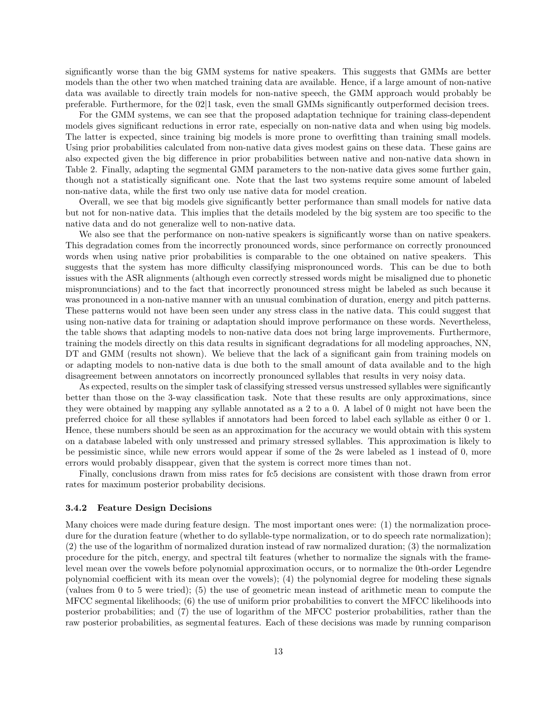significantly worse than the big GMM systems for native speakers. This suggests that GMMs are better models than the other two when matched training data are available. Hence, if a large amount of non-native data was available to directly train models for non-native speech, the GMM approach would probably be preferable. Furthermore, for the 02|1 task, even the small GMMs significantly outperformed decision trees.

For the GMM systems, we can see that the proposed adaptation technique for training class-dependent models gives significant reductions in error rate, especially on non-native data and when using big models. The latter is expected, since training big models is more prone to overfitting than training small models. Using prior probabilities calculated from non-native data gives modest gains on these data. These gains are also expected given the big difference in prior probabilities between native and non-native data shown in Table 2. Finally, adapting the segmental GMM parameters to the non-native data gives some further gain, though not a statistically significant one. Note that the last two systems require some amount of labeled non-native data, while the first two only use native data for model creation.

Overall, we see that big models give significantly better performance than small models for native data but not for non-native data. This implies that the details modeled by the big system are too specific to the native data and do not generalize well to non-native data.

We also see that the performance on non-native speakers is significantly worse than on native speakers. This degradation comes from the incorrectly pronounced words, since performance on correctly pronounced words when using native prior probabilities is comparable to the one obtained on native speakers. This suggests that the system has more difficulty classifying mispronounced words. This can be due to both issues with the ASR alignments (although even correctly stressed words might be misaligned due to phonetic mispronunciations) and to the fact that incorrectly pronounced stress might be labeled as such because it was pronounced in a non-native manner with an unusual combination of duration, energy and pitch patterns. These patterns would not have been seen under any stress class in the native data. This could suggest that using non-native data for training or adaptation should improve performance on these words. Nevertheless, the table shows that adapting models to non-native data does not bring large improvements. Furthermore, training the models directly on this data results in significant degradations for all modeling approaches, NN, DT and GMM (results not shown). We believe that the lack of a significant gain from training models on or adapting models to non-native data is due both to the small amount of data available and to the high disagreement between annotators on incorrectly pronounced syllables that results in very noisy data.

As expected, results on the simpler task of classifying stressed versus unstressed syllables were significantly better than those on the 3-way classification task. Note that these results are only approximations, since they were obtained by mapping any syllable annotated as a 2 to a 0. A label of 0 might not have been the preferred choice for all these syllables if annotators had been forced to label each syllable as either 0 or 1. Hence, these numbers should be seen as an approximation for the accuracy we would obtain with this system on a database labeled with only unstressed and primary stressed syllables. This approximation is likely to be pessimistic since, while new errors would appear if some of the 2s were labeled as 1 instead of 0, more errors would probably disappear, given that the system is correct more times than not.

Finally, conclusions drawn from miss rates for fc5 decisions are consistent with those drawn from error rates for maximum posterior probability decisions.

#### 3.4.2 Feature Design Decisions

Many choices were made during feature design. The most important ones were: (1) the normalization procedure for the duration feature (whether to do syllable-type normalization, or to do speech rate normalization); (2) the use of the logarithm of normalized duration instead of raw normalized duration; (3) the normalization procedure for the pitch, energy, and spectral tilt features (whether to normalize the signals with the framelevel mean over the vowels before polynomial approximation occurs, or to normalize the 0th-order Legendre polynomial coefficient with its mean over the vowels); (4) the polynomial degree for modeling these signals (values from 0 to 5 were tried); (5) the use of geometric mean instead of arithmetic mean to compute the MFCC segmental likelihoods; (6) the use of uniform prior probabilities to convert the MFCC likelihoods into posterior probabilities; and (7) the use of logarithm of the MFCC posterior probabilities, rather than the raw posterior probabilities, as segmental features. Each of these decisions was made by running comparison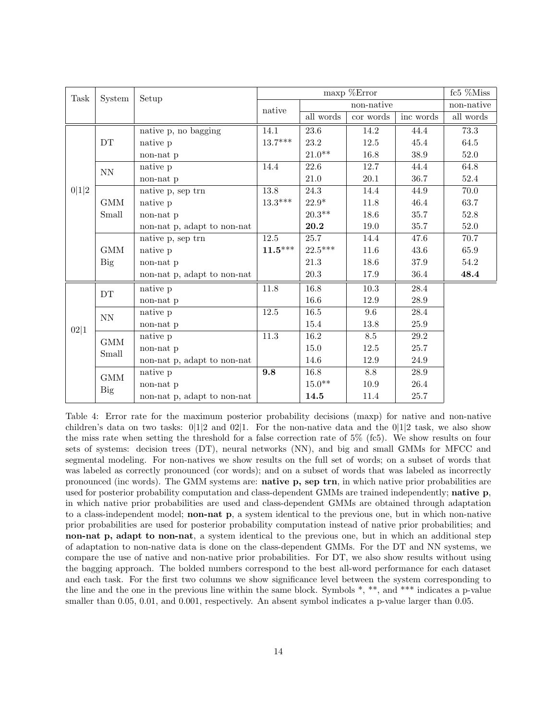| Task  | System              | Setup                       |           | fc5 % $M$ iss |                 |           |           |
|-------|---------------------|-----------------------------|-----------|---------------|-----------------|-----------|-----------|
|       |                     |                             | native    |               | non-native      |           |           |
|       |                     |                             |           | all words     | cor words       | inc words | all words |
|       |                     | native p, no bagging        | 14.1      | 23.6          | 14.2            | 44.4      | 73.3      |
|       | DT                  | native p                    | $13.7***$ | 23.2          | 12.5            | 45.4      | 64.5      |
|       |                     | non-nat p                   |           | $21.0***$     | 16.8            | 38.9      | 52.0      |
|       | NN                  | native p                    | 14.4      | 22.6          | 12.7            | 44.4      | 64.8      |
|       |                     | non-nat p                   |           | $21.0\,$      | $20.1\,$        | 36.7      | 52.4      |
| 0 1 2 |                     | native p, sep trn           | 13.8      | 24.3          | 14.4            | 44.9      | $70.0\,$  |
|       | $\mathop{\rm GMM}$  | native p                    | $13.3***$ | $22.9*$       | 11.8            | 46.4      | 63.7      |
|       | Small               | non-nat p                   |           | $20.3**$      | 18.6            | $35.7\,$  | $52.8\,$  |
|       |                     | non-nat p, adapt to non-nat |           | 20.2          | 19.0            | 35.7      | 52.0      |
|       |                     | native p, sep trn           | $12.5\,$  | 25.7          | 14.4            | 47.6      | 70.7      |
|       | <b>GMM</b>          | native p                    | $11.5***$ | $22.5***$     | 11.6            | 43.6      | $65.9\,$  |
|       | <b>Big</b>          | non-nat p                   |           | 21.3          | 18.6            | 37.9      | $54.2\,$  |
|       |                     | non-nat p, adapt to non-nat |           | $20.3\,$      | 17.9            | 36.4      | 48.4      |
|       | DT                  | native p                    | 11.8      | 16.8          | 10.3            | 28.4      |           |
|       |                     | non-nat p                   |           | $16.6\,$      | $12.9\,$        | $28.9\,$  |           |
| 02 1  | $\mathrm{NN}$       | native p                    | 12.5      | 16.5          | 9.6             | 28.4      |           |
|       |                     | non-nat p                   |           | 15.4          | 13.8            | 25.9      |           |
|       | <b>GMM</b><br>Small | native p                    | $11.3\,$  | $16.2\,$      | $\!\!\!\!\!8.5$ | $29.2\,$  |           |
|       |                     | non-nat p                   |           | $15.0\,$      | 12.5            | 25.7      |           |
|       |                     | non-nat p, adapt to non-nat |           | 14.6          | 12.9            | 24.9      |           |
|       | GMM                 | native p                    | 9.8       | 16.8          | 8.8             | 28.9      |           |
|       | <b>Big</b>          | non-nat p                   |           | $15.0**$      | $10.9\,$        | 26.4      |           |
|       |                     | non-nat p, adapt to non-nat |           | 14.5          | $11.4\,$        | $25.7\,$  |           |

Table 4: Error rate for the maximum posterior probability decisions (maxp) for native and non-native children's data on two tasks:  $0|1|2$  and  $02|1$ . For the non-native data and the  $0|1|2$  task, we also show the miss rate when setting the threshold for a false correction rate of 5% (fc5). We show results on four sets of systems: decision trees (DT), neural networks (NN), and big and small GMMs for MFCC and segmental modeling. For non-natives we show results on the full set of words; on a subset of words that was labeled as correctly pronounced (cor words); and on a subset of words that was labeled as incorrectly pronounced (inc words). The GMM systems are: native p, sep trn, in which native prior probabilities are used for posterior probability computation and class-dependent GMMs are trained independently; native p, in which native prior probabilities are used and class-dependent GMMs are obtained through adaptation to a class-independent model; non-nat p, a system identical to the previous one, but in which non-native prior probabilities are used for posterior probability computation instead of native prior probabilities; and non-nat p, adapt to non-nat, a system identical to the previous one, but in which an additional step of adaptation to non-native data is done on the class-dependent GMMs. For the DT and NN systems, we compare the use of native and non-native prior probabilities. For DT, we also show results without using the bagging approach. The bolded numbers correspond to the best all-word performance for each dataset and each task. For the first two columns we show significance level between the system corresponding to the line and the one in the previous line within the same block. Symbols \*, \*\*, and \*\*\* indicates a p-value smaller than 0.05, 0.01, and 0.001, respectively. An absent symbol indicates a p-value larger than 0.05.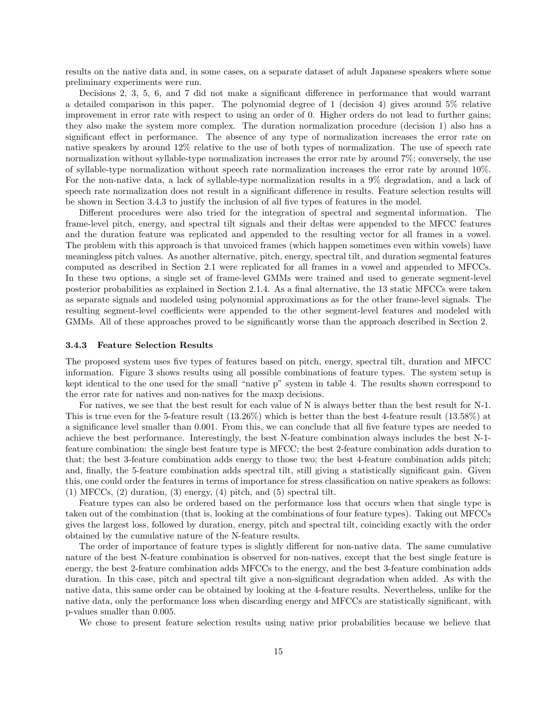results on the native data and, in some cases, on a separate dataset of adult Japanese speakers where some preliminary experiments were run.

Decisions 2, 3, 5, 6, and 7 did not make a significant difference in performance that would warrant a detailed comparison in this paper. The polynomial degree of 1 (decision 4) gives around 5% relative improvement in error rate with respect to using an order of 0. Higher orders do not lead to further gains; they also make the system more complex. The duration normalization procedure (decision 1) also has a significant effect in performance. The absence of any type of normalization increases the error rate on native speakers by around 12% relative to the use of both types of normalization. The use of speech rate normalization without syllable-type normalization increases the error rate by around 7%; conversely, the use of syllable-type normalization without speech rate normalization increases the error rate by around 10%. For the non-native data, a lack of syllable-type normalization results in a 9% degradation, and a lack of speech rate normalization does not result in a significant difference in results. Feature selection results will be shown in Section 3.4.3 to justify the inclusion of all five types of features in the model.

Different procedures were also tried for the integration of spectral and segmental information. The frame-level pitch, energy, and spectral tilt signals and their deltas were appended to the MFCC features and the duration feature was replicated and appended to the resulting vector for all frames in a vowel. The problem with this approach is that unvoiced frames (which happen sometimes even within vowels) have meaningless pitch values. As another alternative, pitch, energy, spectral tilt, and duration segmental features computed as described in Section 2.1 were replicated for all frames in a vowel and appended to MFCCs. In these two options, a single set of frame-level GMMs were trained and used to generate segment-level posterior probabilities as explained in Section 2.1.4. As a final alternative, the 13 static MFCCs were taken as separate signals and modeled using polynomial approximations as for the other frame-level signals. The resulting segment-level coefficients were appended to the other segment-level features and modeled with GMMs. All of these approaches proved to be significantly worse than the approach described in Section 2.

#### 3.4.3 Feature Selection Results

The proposed system uses five types of features based on pitch, energy, spectral tilt, duration and MFCC information. Figure 3 shows results using all possible combinations of feature types. The system setup is kept identical to the one used for the small "native p" system in table 4. The results shown correspond to the error rate for natives and non-natives for the maxp decisions.

For natives, we see that the best result for each value of N is always better than the best result for N-1. This is true even for the 5-feature result (13.26%) which is better than the best 4-feature result (13.58%) at a significance level smaller than 0.001. From this, we can conclude that all five feature types are needed to achieve the best performance. Interestingly, the best N-feature combination always includes the best N-1 feature combination: the single best feature type is MFCC; the best 2-feature combination adds duration to that; the best 3-feature combination adds energy to those two; the best 4-feature combination adds pitch; and, finally, the 5-feature combination adds spectral tilt, still giving a statistically significant gain. Given this, one could order the features in terms of importance for stress classification on native speakers as follows:  $(1)$  MFCCs,  $(2)$  duration,  $(3)$  energy,  $(4)$  pitch, and  $(5)$  spectral tilt.

Feature types can also be ordered based on the performance loss that occurs when that single type is taken out of the combination (that is, looking at the combinations of four feature types). Taking out MFCCs gives the largest loss, followed by duration, energy, pitch and spectral tilt, coinciding exactly with the order obtained by the cumulative nature of the N-feature results.

The order of importance of feature types is slightly different for non-native data. The same cumulative nature of the best N-feature combination is observed for non-natives, except that the best single feature is energy, the best 2-feature combination adds MFCCs to the energy, and the best 3-feature combination adds duration. In this case, pitch and spectral tilt give a non-significant degradation when added. As with the native data, this same order can be obtained by looking at the 4-feature results. Nevertheless, unlike for the native data, only the performance loss when discarding energy and MFCCs are statistically significant, with p-values smaller than 0.005.

We chose to present feature selection results using native prior probabilities because we believe that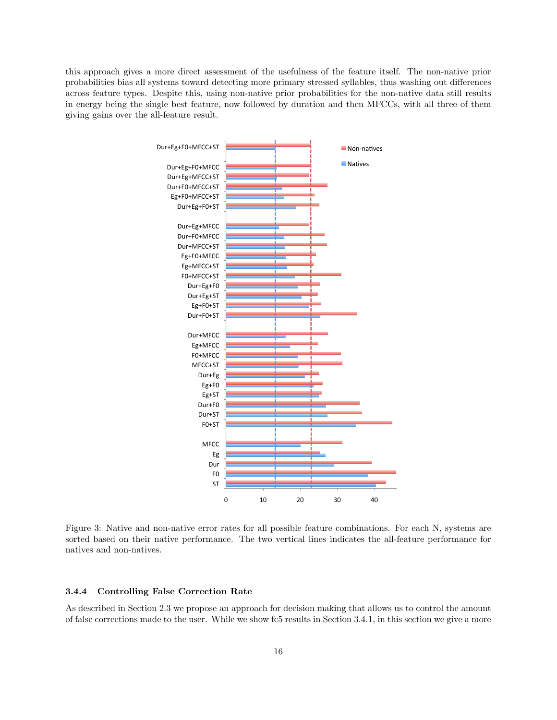this approach gives a more direct assessment of the usefulness of the feature itself. The non-native prior probabilities bias all systems toward detecting more primary stressed syllables, thus washing out differences across feature types. Despite this, using non-native prior probabilities for the non-native data still results in energy being the single best feature, now followed by duration and then MFCCs, with all three of them giving gains over the all-feature result.



Figure 3: Native and non-native error rates for all possible feature combinations. For each N, systems are sorted based on their native performance. The two vertical lines indicates the all-feature performance for natives and non-natives.

#### 3.4.4 Controlling False Correction Rate

As described in Section 2.3 we propose an approach for decision making that allows us to control the amount of false corrections made to the user. While we show fc5 results in Section 3.4.1, in this section we give a more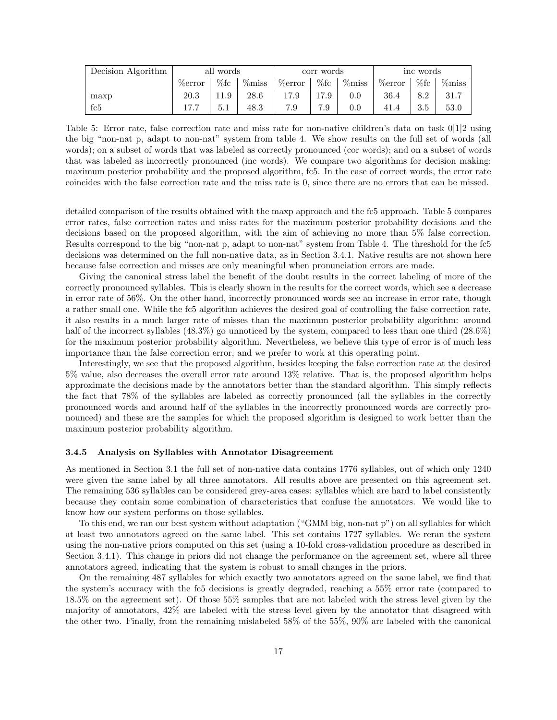| Decision Algorithm | all words  |         |           | corr words |         |           | inc words  |         |           |
|--------------------|------------|---------|-----------|------------|---------|-----------|------------|---------|-----------|
|                    | $\%$ error | $\%$ fc | $\%$ miss | %error     | $\%$ fc | $\%$ miss | $\%$ error | $%$ fc  | $\%$ miss |
| maxp               | 20.3       | 11 Q    | 28.6      | 17.9       | 17.9    | $0.0\,$   | 36.4       |         | 31.7      |
| fc5                | 17.7       | 5.1     | 48.3      | 7.9        | 7.9     | $0.0\,$   | 41.4       | $3.5\,$ | $53.0\,$  |

Table 5: Error rate, false correction rate and miss rate for non-native children's data on task 0|1|2 using the big "non-nat p, adapt to non-nat" system from table 4. We show results on the full set of words (all words); on a subset of words that was labeled as correctly pronounced (cor words); and on a subset of words that was labeled as incorrectly pronounced (inc words). We compare two algorithms for decision making: maximum posterior probability and the proposed algorithm, fc5. In the case of correct words, the error rate coincides with the false correction rate and the miss rate is 0, since there are no errors that can be missed.

detailed comparison of the results obtained with the maxp approach and the fc5 approach. Table 5 compares error rates, false correction rates and miss rates for the maximum posterior probability decisions and the decisions based on the proposed algorithm, with the aim of achieving no more than 5% false correction. Results correspond to the big "non-nat p, adapt to non-nat" system from Table 4. The threshold for the fc5 decisions was determined on the full non-native data, as in Section 3.4.1. Native results are not shown here because false correction and misses are only meaningful when pronunciation errors are made.

Giving the canonical stress label the benefit of the doubt results in the correct labeling of more of the correctly pronounced syllables. This is clearly shown in the results for the correct words, which see a decrease in error rate of 56%. On the other hand, incorrectly pronounced words see an increase in error rate, though a rather small one. While the fc5 algorithm achieves the desired goal of controlling the false correction rate, it also results in a much larger rate of misses than the maximum posterior probability algorithm: around half of the incorrect syllables (48.3%) go unnoticed by the system, compared to less than one third (28.6%) for the maximum posterior probability algorithm. Nevertheless, we believe this type of error is of much less importance than the false correction error, and we prefer to work at this operating point.

Interestingly, we see that the proposed algorithm, besides keeping the false correction rate at the desired 5% value, also decreases the overall error rate around 13% relative. That is, the proposed algorithm helps approximate the decisions made by the annotators better than the standard algorithm. This simply reflects the fact that 78% of the syllables are labeled as correctly pronounced (all the syllables in the correctly pronounced words and around half of the syllables in the incorrectly pronounced words are correctly pronounced) and these are the samples for which the proposed algorithm is designed to work better than the maximum posterior probability algorithm.

#### 3.4.5 Analysis on Syllables with Annotator Disagreement

As mentioned in Section 3.1 the full set of non-native data contains 1776 syllables, out of which only 1240 were given the same label by all three annotators. All results above are presented on this agreement set. The remaining 536 syllables can be considered grey-area cases: syllables which are hard to label consistently because they contain some combination of characteristics that confuse the annotators. We would like to know how our system performs on those syllables.

To this end, we ran our best system without adaptation ("GMM big, non-nat p") on all syllables for which at least two annotators agreed on the same label. This set contains 1727 syllables. We reran the system using the non-native priors computed on this set (using a 10-fold cross-validation procedure as described in Section 3.4.1). This change in priors did not change the performance on the agreement set, where all three annotators agreed, indicating that the system is robust to small changes in the priors.

On the remaining 487 syllables for which exactly two annotators agreed on the same label, we find that the system's accuracy with the fc5 decisions is greatly degraded, reaching a 55% error rate (compared to 18.5% on the agreement set). Of those 55% samples that are not labeled with the stress level given by the majority of annotators, 42% are labeled with the stress level given by the annotator that disagreed with the other two. Finally, from the remaining mislabeled 58% of the 55%, 90% are labeled with the canonical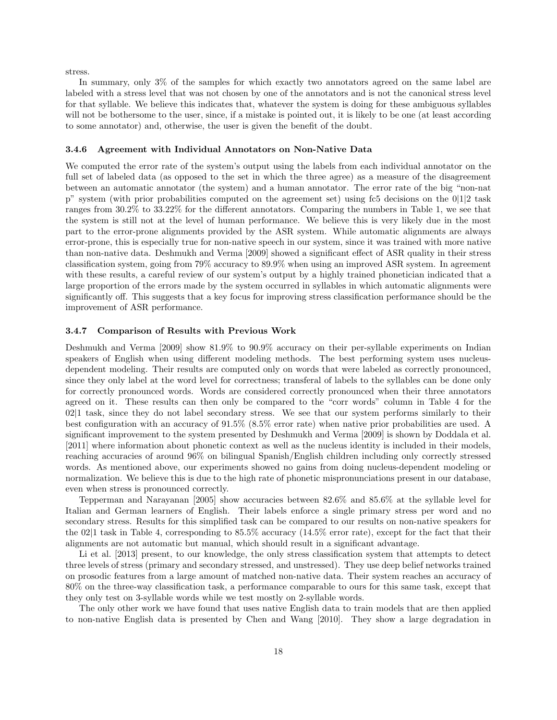stress.

In summary, only 3% of the samples for which exactly two annotators agreed on the same label are labeled with a stress level that was not chosen by one of the annotators and is not the canonical stress level for that syllable. We believe this indicates that, whatever the system is doing for these ambiguous syllables will not be bothersome to the user, since, if a mistake is pointed out, it is likely to be one (at least according to some annotator) and, otherwise, the user is given the benefit of the doubt.

#### 3.4.6 Agreement with Individual Annotators on Non-Native Data

We computed the error rate of the system's output using the labels from each individual annotator on the full set of labeled data (as opposed to the set in which the three agree) as a measure of the disagreement between an automatic annotator (the system) and a human annotator. The error rate of the big "non-nat p" system (with prior probabilities computed on the agreement set) using fc5 decisions on the 0|1|2 task ranges from 30.2% to 33.22% for the different annotators. Comparing the numbers in Table 1, we see that the system is still not at the level of human performance. We believe this is very likely due in the most part to the error-prone alignments provided by the ASR system. While automatic alignments are always error-prone, this is especially true for non-native speech in our system, since it was trained with more native than non-native data. Deshmukh and Verma [2009] showed a significant effect of ASR quality in their stress classification system, going from 79% accuracy to 89.9% when using an improved ASR system. In agreement with these results, a careful review of our system's output by a highly trained phonetician indicated that a large proportion of the errors made by the system occurred in syllables in which automatic alignments were significantly off. This suggests that a key focus for improving stress classification performance should be the improvement of ASR performance.

### 3.4.7 Comparison of Results with Previous Work

Deshmukh and Verma [2009] show 81.9% to 90.9% accuracy on their per-syllable experiments on Indian speakers of English when using different modeling methods. The best performing system uses nucleusdependent modeling. Their results are computed only on words that were labeled as correctly pronounced, since they only label at the word level for correctness; transferal of labels to the syllables can be done only for correctly pronounced words. Words are considered correctly pronounced when their three annotators agreed on it. These results can then only be compared to the "corr words" column in Table 4 for the 02|1 task, since they do not label secondary stress. We see that our system performs similarly to their best configuration with an accuracy of 91.5% (8.5% error rate) when native prior probabilities are used. A significant improvement to the system presented by Deshmukh and Verma [2009] is shown by Doddala et al. [2011] where information about phonetic context as well as the nucleus identity is included in their models, reaching accuracies of around 96% on bilingual Spanish/English children including only correctly stressed words. As mentioned above, our experiments showed no gains from doing nucleus-dependent modeling or normalization. We believe this is due to the high rate of phonetic mispronunciations present in our database, even when stress is pronounced correctly.

Tepperman and Narayanan [2005] show accuracies between 82.6% and 85.6% at the syllable level for Italian and German learners of English. Their labels enforce a single primary stress per word and no secondary stress. Results for this simplified task can be compared to our results on non-native speakers for the 02|1 task in Table 4, corresponding to 85.5% accuracy (14.5% error rate), except for the fact that their alignments are not automatic but manual, which should result in a significant advantage.

Li et al. [2013] present, to our knowledge, the only stress classification system that attempts to detect three levels of stress (primary and secondary stressed, and unstressed). They use deep belief networks trained on prosodic features from a large amount of matched non-native data. Their system reaches an accuracy of 80% on the three-way classification task, a performance comparable to ours for this same task, except that they only test on 3-syllable words while we test mostly on 2-syllable words.

The only other work we have found that uses native English data to train models that are then applied to non-native English data is presented by Chen and Wang [2010]. They show a large degradation in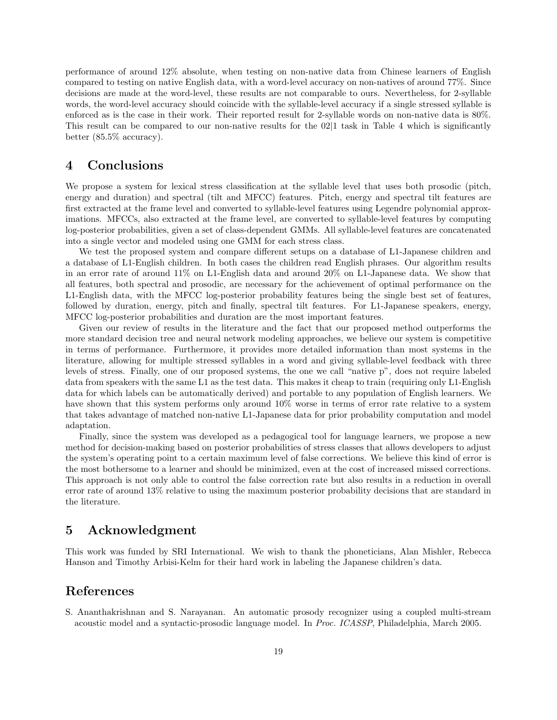performance of around 12% absolute, when testing on non-native data from Chinese learners of English compared to testing on native English data, with a word-level accuracy on non-natives of around 77%. Since decisions are made at the word-level, these results are not comparable to ours. Nevertheless, for 2-syllable words, the word-level accuracy should coincide with the syllable-level accuracy if a single stressed syllable is enforced as is the case in their work. Their reported result for 2-syllable words on non-native data is 80%. This result can be compared to our non-native results for the 02|1 task in Table 4 which is significantly better (85.5% accuracy).

# 4 Conclusions

We propose a system for lexical stress classification at the syllable level that uses both prosodic (pitch, energy and duration) and spectral (tilt and MFCC) features. Pitch, energy and spectral tilt features are first extracted at the frame level and converted to syllable-level features using Legendre polynomial approximations. MFCCs, also extracted at the frame level, are converted to syllable-level features by computing log-posterior probabilities, given a set of class-dependent GMMs. All syllable-level features are concatenated into a single vector and modeled using one GMM for each stress class.

We test the proposed system and compare different setups on a database of L1-Japanese children and a database of L1-English children. In both cases the children read English phrases. Our algorithm results in an error rate of around 11% on L1-English data and around 20% on L1-Japanese data. We show that all features, both spectral and prosodic, are necessary for the achievement of optimal performance on the L1-English data, with the MFCC log-posterior probability features being the single best set of features, followed by duration, energy, pitch and finally, spectral tilt features. For L1-Japanese speakers, energy, MFCC log-posterior probabilities and duration are the most important features.

Given our review of results in the literature and the fact that our proposed method outperforms the more standard decision tree and neural network modeling approaches, we believe our system is competitive in terms of performance. Furthermore, it provides more detailed information than most systems in the literature, allowing for multiple stressed syllables in a word and giving syllable-level feedback with three levels of stress. Finally, one of our proposed systems, the one we call "native p", does not require labeled data from speakers with the same L1 as the test data. This makes it cheap to train (requiring only L1-English data for which labels can be automatically derived) and portable to any population of English learners. We have shown that this system performs only around 10% worse in terms of error rate relative to a system that takes advantage of matched non-native L1-Japanese data for prior probability computation and model adaptation.

Finally, since the system was developed as a pedagogical tool for language learners, we propose a new method for decision-making based on posterior probabilities of stress classes that allows developers to adjust the system's operating point to a certain maximum level of false corrections. We believe this kind of error is the most bothersome to a learner and should be minimized, even at the cost of increased missed corrections. This approach is not only able to control the false correction rate but also results in a reduction in overall error rate of around 13% relative to using the maximum posterior probability decisions that are standard in the literature.

# 5 Acknowledgment

This work was funded by SRI International. We wish to thank the phoneticians, Alan Mishler, Rebecca Hanson and Timothy Arbisi-Kelm for their hard work in labeling the Japanese children's data.

# References

S. Ananthakrishnan and S. Narayanan. An automatic prosody recognizer using a coupled multi-stream acoustic model and a syntactic-prosodic language model. In Proc. ICASSP, Philadelphia, March 2005.